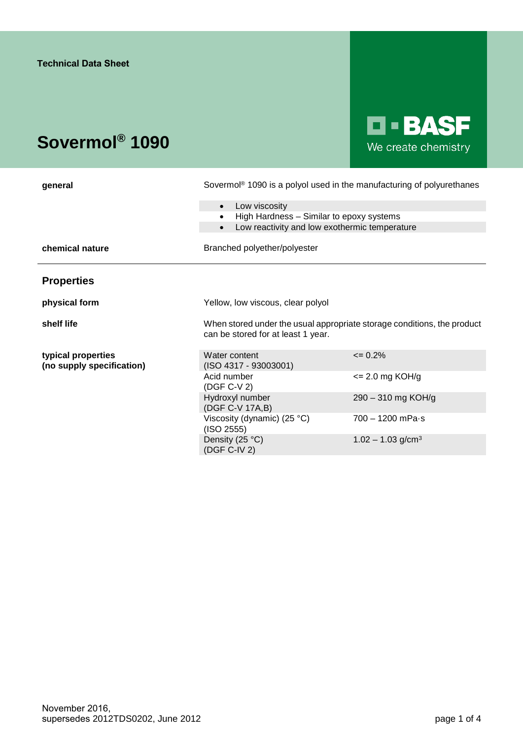# **Sovermol® 1090**

# **D-BASF** We create chemistry

| general                                         | Sovermol <sup>®</sup> 1090 is a polyol used in the manufacturing of polyurethanes                             |                            |  |
|-------------------------------------------------|---------------------------------------------------------------------------------------------------------------|----------------------------|--|
|                                                 | Low viscosity<br>$\bullet$                                                                                    |                            |  |
|                                                 | High Hardness - Similar to epoxy systems<br>$\bullet$                                                         |                            |  |
|                                                 | Low reactivity and low exothermic temperature<br>$\bullet$                                                    |                            |  |
| chemical nature                                 | Branched polyether/polyester                                                                                  |                            |  |
| <b>Properties</b>                               |                                                                                                               |                            |  |
| physical form                                   | Yellow, low viscous, clear polyol                                                                             |                            |  |
| shelf life                                      | When stored under the usual appropriate storage conditions, the product<br>can be stored for at least 1 year. |                            |  |
| typical properties<br>(no supply specification) | Water content<br>$(ISO 4317 - 93003001)$                                                                      | $\epsilon$ = 0.2%          |  |
|                                                 | Acid number<br>(DGF C-V 2)                                                                                    | $\epsilon$ = 2.0 mg KOH/g  |  |
|                                                 | Hydroxyl number<br>(DGF C-V 17A,B)                                                                            | 290 - 310 mg KOH/g         |  |
|                                                 | Viscosity (dynamic) $(25 °C)$<br>(ISO 2555)                                                                   | $700 - 1200$ mPa $\cdot$ s |  |
|                                                 |                                                                                                               |                            |  |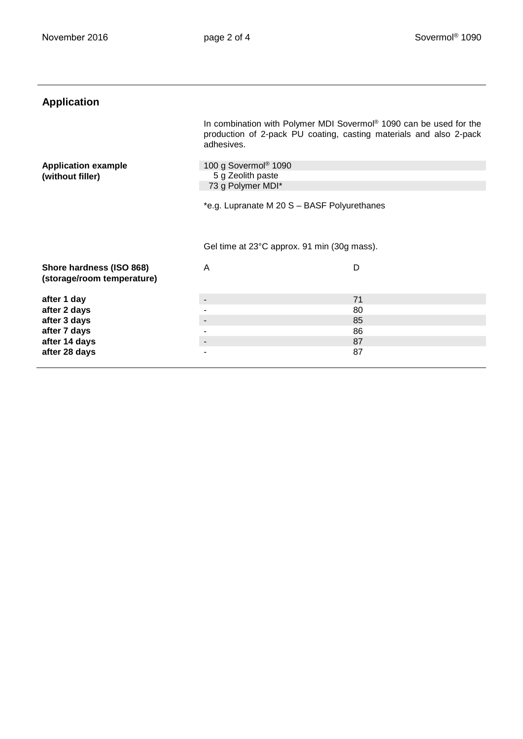| <b>Application</b>             |                                                                                                                                                                    |    |
|--------------------------------|--------------------------------------------------------------------------------------------------------------------------------------------------------------------|----|
|                                | In combination with Polymer MDI Sovermol <sup>®</sup> 1090 can be used for the<br>production of 2-pack PU coating, casting materials and also 2-pack<br>adhesives. |    |
| <b>Application example</b>     | 100 g Sovermol <sup>®</sup> 1090                                                                                                                                   |    |
| (without filler)               | 5 g Zeolith paste                                                                                                                                                  |    |
|                                | 73 g Polymer MDI*                                                                                                                                                  |    |
|                                |                                                                                                                                                                    |    |
|                                | *e.g. Lupranate M 20 S - BASF Polyurethanes                                                                                                                        |    |
|                                |                                                                                                                                                                    |    |
|                                |                                                                                                                                                                    |    |
|                                | Gel time at 23°C approx. 91 min (30g mass).                                                                                                                        |    |
| Shore hardness (ISO 868)       | A                                                                                                                                                                  | D  |
| (storage/room temperature)     |                                                                                                                                                                    |    |
|                                |                                                                                                                                                                    |    |
|                                |                                                                                                                                                                    |    |
|                                |                                                                                                                                                                    | 71 |
| after 1 day<br>after 2 days    |                                                                                                                                                                    | 80 |
| after 3 days                   |                                                                                                                                                                    | 85 |
| after 7 days                   |                                                                                                                                                                    | 86 |
| after 14 days<br>after 28 days |                                                                                                                                                                    | 87 |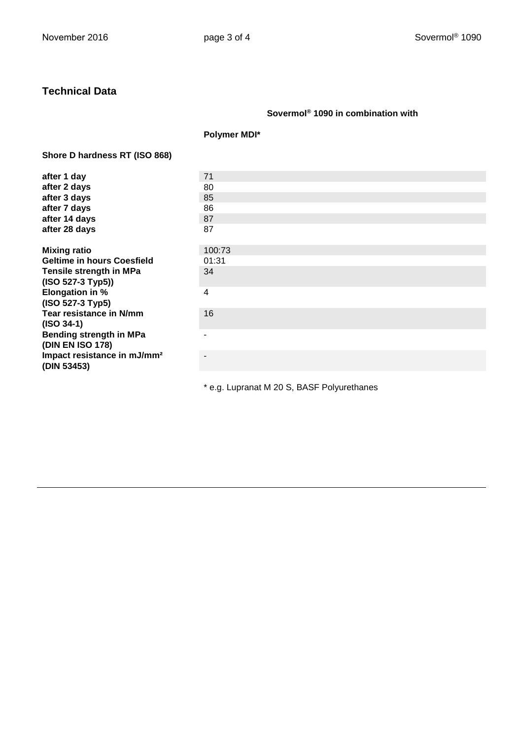## **Technical Data**

## **Sovermol® 1090 in combination with**

**Polymer MDI\***

### **Shore D hardness RT (ISO 868)**

| after 1 day                             | 71     |
|-----------------------------------------|--------|
| after 2 days                            | 80     |
| after 3 days                            | 85     |
| after 7 days                            | 86     |
| after 14 days                           | 87     |
| after 28 days                           | 87     |
| <b>Mixing ratio</b>                     | 100:73 |
| <b>Geltime in hours Coesfield</b>       | 01:31  |
| Tensile strength in MPa                 | 34     |
| (ISO 527-3 Typ5))                       |        |
| <b>Elongation in %</b>                  | 4      |
| (ISO 527-3 Typ5)                        |        |
| Tear resistance in N/mm                 | 16     |
| $(ISO 34-1)$                            |        |
| Bending strength in MPa                 |        |
| (DIN EN ISO 178)                        |        |
| Impact resistance in mJ/mm <sup>2</sup> |        |
| (DIN 53453)                             |        |
|                                         |        |

\* e.g. Lupranat M 20 S, BASF Polyurethanes